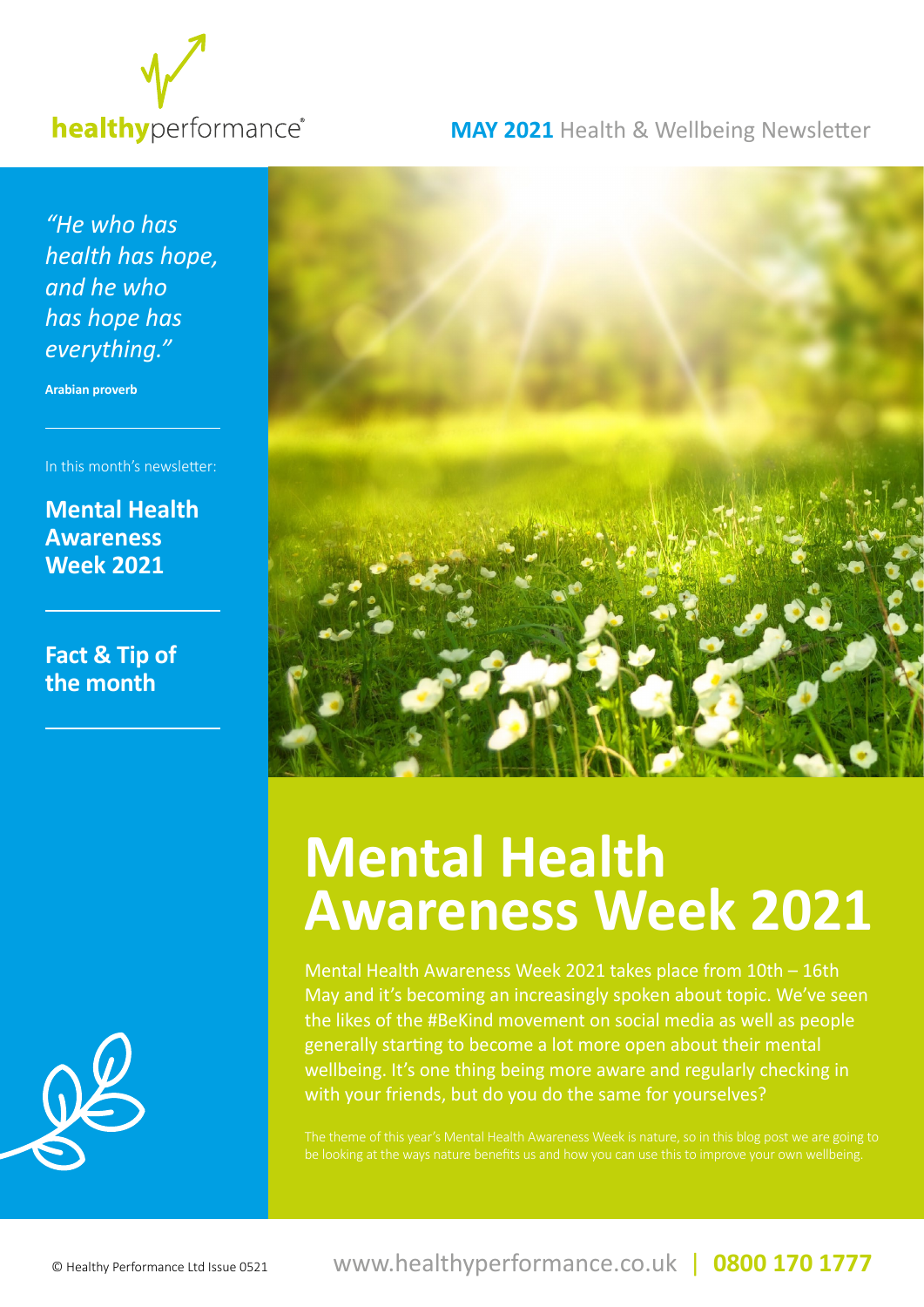

#### **MAY 2021** Health & Wellbeing Newsletter

*"He who has health has hope, and he who has hope has everything."*

**Arabian proverb**

In this month's newsletter:

**Mental Health Awareness Week 2021**

**Fact & Tip of the month**





## **Mental Health Awareness Week 2021**

Mental Health Awareness Week 2021 takes place from 10th – 16th May and it's becoming an increasingly spoken about topic. We've seen the likes of the #BeKind movement on social media as well as people generally starting to become a lot more open about their mental wellbeing. It's one thing being more aware and regularly checking in with your friends, but do you do the same for yourselves?

The theme of this year's Mental Health Awareness Week is nature, so in this blog post we are going to be looking at the ways nature benefits us and how you can use this to improve your own wellbeing.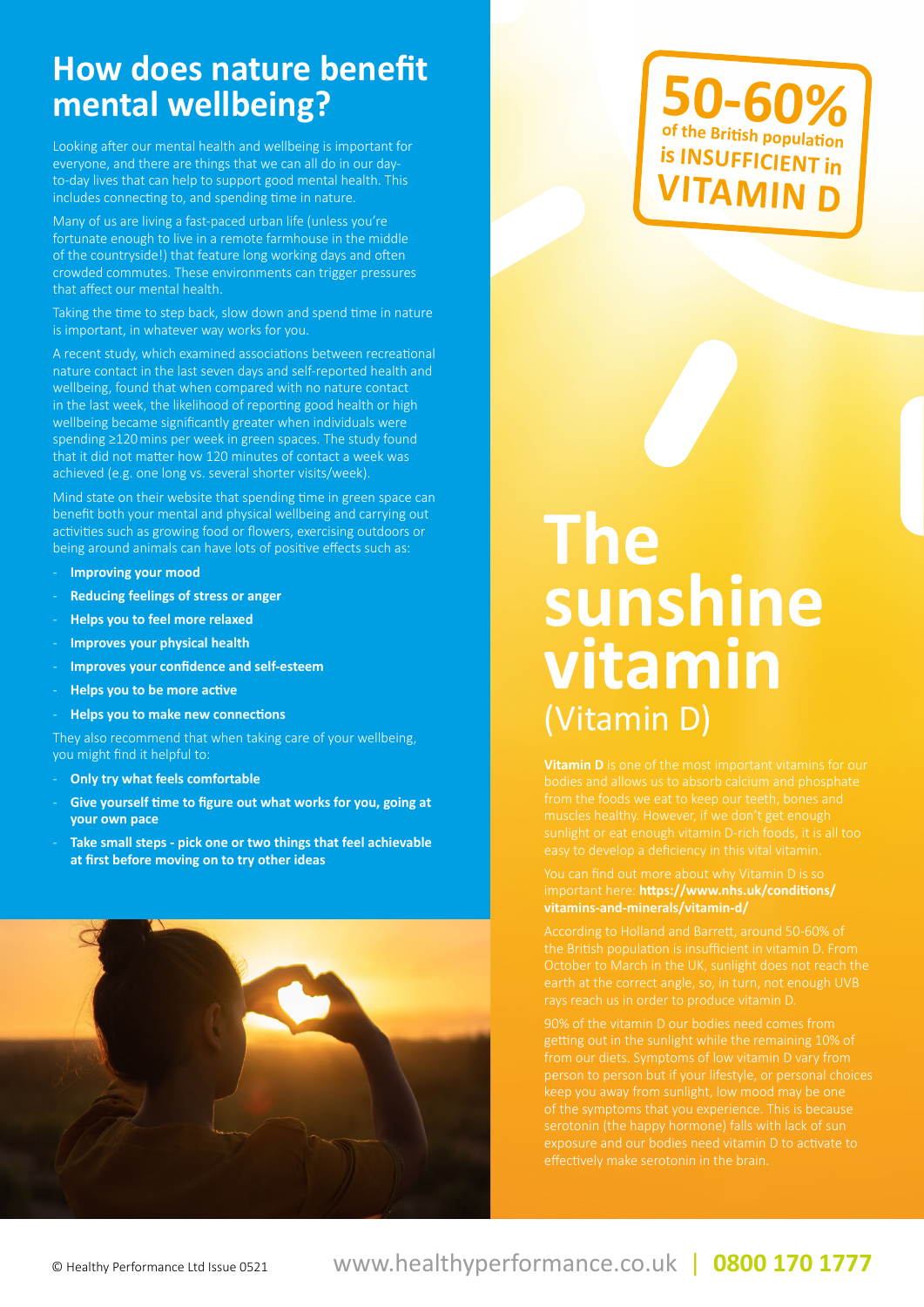### **How does nature benefit mental wellbeing?**

Looking after our mental health and wellbeing is important for everyone, and there are things that we can all do in our dayto-day lives that can help to support good mental health. This includes connecting to, and spending time in nature.

Many of us are living a fast-paced urban life (unless you're fortunate enough to live in a remote farmhouse in the middle of the countryside!) that feature long working days and often crowded commutes. These environments can trigger pressures that affect our mental health.

Taking the time to step back, slow down and spend time in nature is important, in whatever way works for you.

A recent study, which examined associations between recreational nature contact in the last seven days and self-reported health and wellbeing, found that when compared with no nature contact in the last week, the likelihood of reporting good health or high wellbeing became significantly greater when individuals were spending ≥120mins per week in green spaces. The study found that it did not matter how 120 minutes of contact a week was achieved (e.g. one long vs. several shorter visits/week).

Mind state on their website that spending time in green space can benefit both your mental and physical wellbeing and carrying out activities such as growing food or flowers, exercising outdoors or being around animals can have lots of positive effects such as:

- **Improving your mood**
- **Reducing feelings of stress or anger**
- **Helps you to feel more relaxed**
- **Improves your physical health**
- **Improves your confidence and self-esteem**
- **Helps you to be more active**
- **Helps you to make new connections**

They also recommend that when taking care of your wellbeing, you might find it helpful to:

- **Only try what feels comfortable**
- **Give yourself time to figure out what works for you, going at your own pace**
- **Take small steps pick one or two things that feel achievable at first before moving on to try other ideas**



## **50-60% of the British population is INSUFFICIENT in VITAMIN**

# **The sunshine vitamin**  (Vitamin D)

important here: **https://www.nhs.uk/conditions/**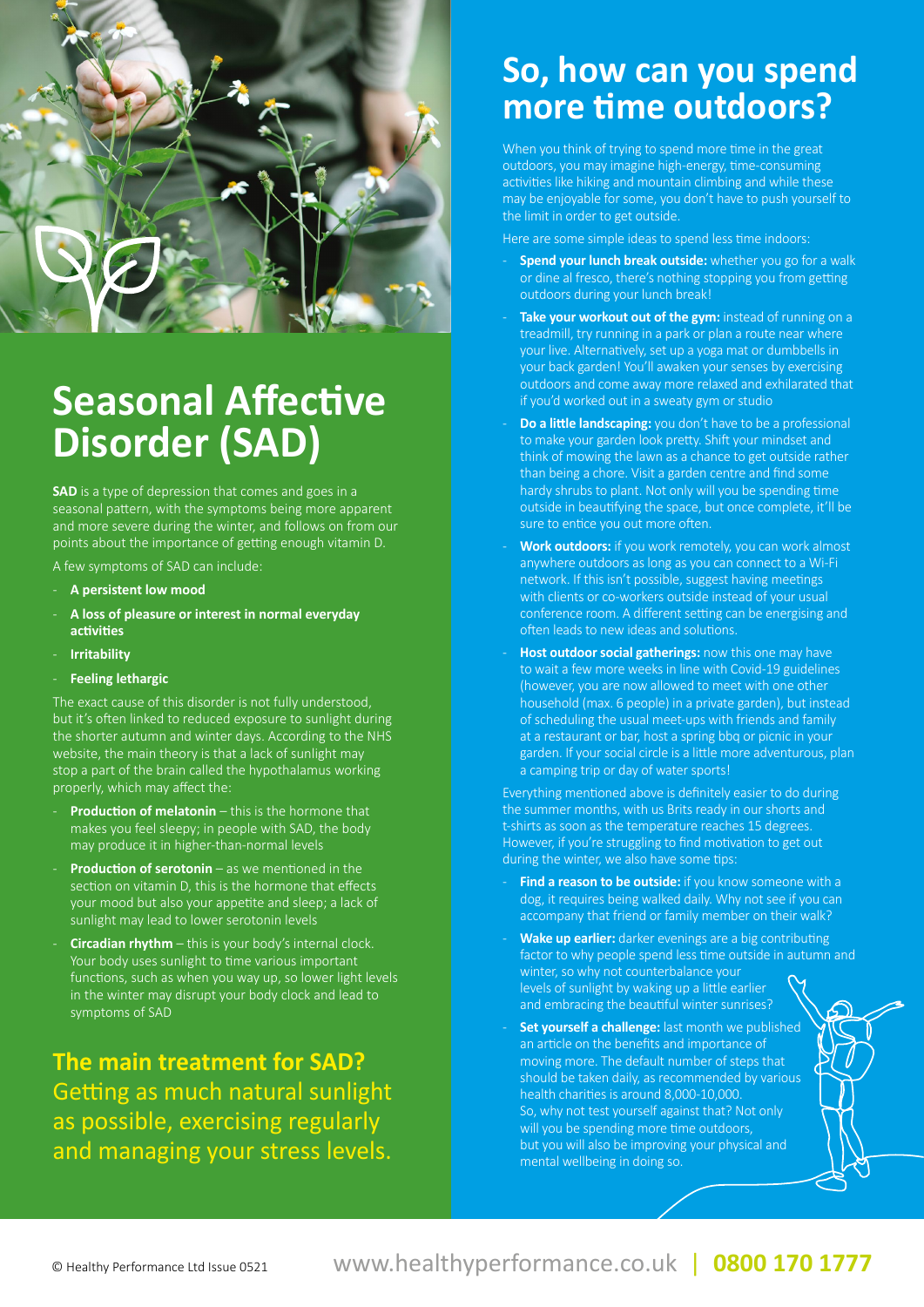

## **Seasonal Affective Disorder (SAD)**

**SAD** is a type of depression that comes and goes in a seasonal pattern, with the symptoms being more apparent and more severe during the winter, and follows on from our points about the importance of getting enough vitamin D.

A few symptoms of SAD can include:

- **A persistent low mood**
- **A loss of pleasure or interest in normal everyday activities**
- **Irritability**
- **Feeling lethargic**

The exact cause of this disorder is not fully understood, but it's often linked to reduced exposure to sunlight during the shorter autumn and winter days. According to the NHS website, the main theory is that a lack of sunlight may stop a part of the brain called the hypothalamus working properly, which may affect the:

- **Production of melatonin** this is the hormone that makes you feel sleepy; in people with SAD, the body may produce it in higher-than-normal levels
- **Production of serotonin** as we mentioned in the section on vitamin D, this is the hormone that effects your mood but also your appetite and sleep; a lack of sunlight may lead to lower serotonin levels
- **Circadian rhythm** this is your body's internal clock. Your body uses sunlight to time various important functions, such as when you way up, so lower light levels in the winter may disrupt your body clock and lead to symptoms of SAD

**The main treatment for SAD?**  Getting as much natural sunlight as possible, exercising regularly and managing your stress levels.

## **So, how can you spend more time outdoors?**

When you think of trying to spend more time in the great outdoors, you may imagine high-energy, time-consuming activities like hiking and mountain climbing and while these may be enjoyable for some, you don't have to push yourself to the limit in order to get outside.

Here are some simple ideas to spend less time indoors:

- **Spend your lunch break outside:** whether you go for a walk or dine al fresco, there's nothing stopping you from getting outdoors during your lunch break!
- Take your workout out of the gym: instead of running on a treadmill, try running in a park or plan a route near where your live. Alternatively, set up a yoga mat or dumbbells in your back garden! You'll awaken your senses by exercising outdoors and come away more relaxed and exhilarated that if you'd worked out in a sweaty gym or studio
- **Do a little landscaping:** you don't have to be a professional to make your garden look pretty. Shift your mindset and think of mowing the lawn as a chance to get outside rather than being a chore. Visit a garden centre and find some hardy shrubs to plant. Not only will you be spending time outside in beautifying the space, but once complete, it'll be sure to entice you out more often.
- **Work outdoors:** if you work remotely, you can work almost anywhere outdoors as long as you can connect to a Wi-Fi network. If this isn't possible, suggest having meetings with clients or co-workers outside instead of your usual conference room. A different setting can be energising and often leads to new ideas and solutions.
- **Host outdoor social gatherings:** now this one may have to wait a few more weeks in line with Covid-19 guidelines (however, you are now allowed to meet with one other household (max. 6 people) in a private garden), but instead of scheduling the usual meet-ups with friends and family at a restaurant or bar, host a spring bbq or picnic in your garden. If your social circle is a little more adventurous, plan a camping trip or day of water sports!

Everything mentioned above is definitely easier to do during the summer months, with us Brits ready in our shorts and t-shirts as soon as the temperature reaches 15 degrees. However, if you're struggling to find motivation to get out during the winter, we also have some tips:

- Find a reason to be outside: if you know someone with a dog, it requires being walked daily. Why not see if you can accompany that friend or family member on their walk?
- Wake up earlier: darker evenings are a big contributing factor to why people spend less time outside in autumn and winter, so why not counterbalance your levels of sunlight by waking up a little earlier and embracing the beautiful winter sunrises?
- Set yourself a challenge: last month we published an article on the benefits and importance of moving more. The default number of steps that should be taken daily, as recommended by various health charities is around 8,000-10,000. So, why not test yourself against that? Not only will you be spending more time outdoors, but you will also be improving your physical and mental wellbeing in doing so.

#### © Healthy Performance Ltd Issue 0521 www.healthyperformance.co.uk | **0800 170 1777**